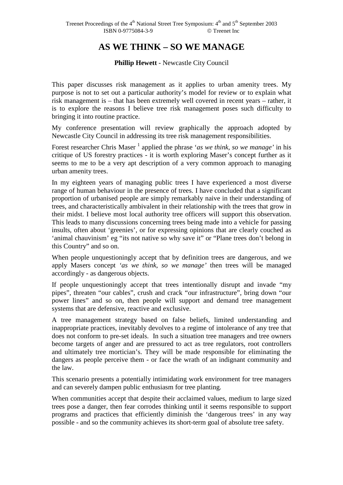# **AS WE THINK – SO WE MANAGE**

# **Phillip Hewett** - Newcastle City Council

This paper discusses risk management as it applies to urban amenity trees. My purpose is not to set out a particular authority's model for review or to explain what risk management is – that has been extremely well covered in recent years – rather, it is to explore the reasons I believe tree risk management poses such difficulty to bringing it into routine practice.

My conference presentation will review graphically the approach adopted by Newcastle City Council in addressing its tree risk management responsibilities.

Forest researcher Chris Maser<sup>1</sup> applied the phrase '*as we think, so we manage*' in his critique of US forestry practices - it is worth exploring Maser's concept further as it seems to me to be a very apt description of a very common approach to managing urban amenity trees.

In my eighteen years of managing public trees I have experienced a most diverse range of human behaviour in the presence of trees. I have concluded that a significant proportion of urbanised people are simply remarkably naive in their understanding of trees, and characteristically ambivalent in their relationship with the trees that grow in their midst. I believe most local authority tree officers will support this observation. This leads to many discussions concerning trees being made into a vehicle for passing insults, often about 'greenies', or for expressing opinions that are clearly couched as 'animal chauvinism' eg "its not native so why save it" or "Plane trees don't belong in this Country" and so on.

When people unquestioningly accept that by definition trees are dangerous, and we apply Masers concept *'as we think, so we manage'* then trees will be managed accordingly - as dangerous objects.

If people unquestioningly accept that trees intentionally disrupt and invade "my pipes", threaten "our cables", crush and crack "our infrastructure", bring down "our power lines" and so on, then people will support and demand tree management systems that are defensive, reactive and exclusive.

A tree management strategy based on false beliefs, limited understanding and inappropriate practices, inevitably devolves to a regime of intolerance of any tree that does not conform to pre-set ideals. In such a situation tree managers and tree owners become targets of anger and are pressured to act as tree regulators, root controllers and ultimately tree mortician's. They will be made responsible for eliminating the dangers as people perceive them - or face the wrath of an indignant community and the law.

This scenario presents a potentially intimidating work environment for tree managers and can severely dampen public enthusiasm for tree planting.

When communities accept that despite their acclaimed values, medium to large sized trees pose a danger, then fear corrodes thinking until it seems responsible to support programs and practices that efficiently diminish the 'dangerous trees' in any way possible - and so the community achieves its short-term goal of absolute tree safety.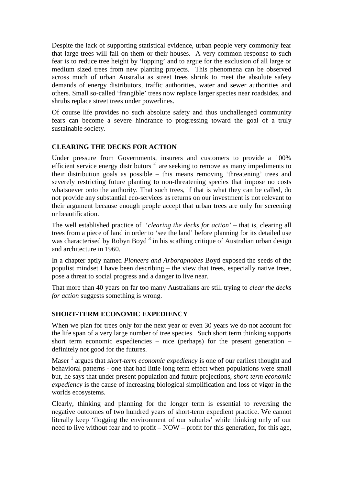Despite the lack of supporting statistical evidence, urban people very commonly fear that large trees will fall on them or their houses. A very common response to such fear is to reduce tree height by 'lopping' and to argue for the exclusion of all large or medium sized trees from new planting projects. This phenomena can be observed across much of urban Australia as street trees shrink to meet the absolute safety demands of energy distributors, traffic authorities, water and sewer authorities and others. Small so-called 'frangible' trees now replace larger species near roadsides, and shrubs replace street trees under powerlines.

Of course life provides no such absolute safety and thus unchallenged community fears can become a severe hindrance to progressing toward the goal of a truly sustainable society.

# **CLEARING THE DECKS FOR ACTION**

Under pressure from Governments, insurers and customers to provide a 100% efficient service energy distributors  $2$  are seeking to remove as many impediments to their distribution goals as possible – this means removing 'threatening' trees and severely restricting future planting to non-threatening species that impose no costs whatsoever onto the authority. That such trees, if that is what they can be called, do not provide any substantial eco-services as returns on our investment is not relevant to their argument because enough people accept that urban trees are only for screening or beautification.

The well established practice of '*clearing the decks for action'* – that is, clearing all trees from a piece of land in order to 'see the land' before planning for its detailed use was characterised by Robyn Boyd<sup>3</sup> in his scathing critique of Australian urban design and architecture in 1960.

In a chapter aptly named *Pioneers and Arboraphobes* Boyd exposed the seeds of the populist mindset I have been describing – the view that trees, especially native trees, pose a threat to social progress and a danger to live near.

That more than 40 years on far too many Australians are still trying to *clear the decks for action* suggests something is wrong.

# **SHORT-TERM ECONOMIC EXPEDIENCY**

When we plan for trees only for the next year or even 30 years we do not account for the life span of a very large number of tree species. Such short term thinking supports short term economic expediencies – nice (perhaps) for the present generation – definitely not good for the futures.

Maser<sup>1</sup> argues that *short-term economic expediency* is one of our earliest thought and behavioral patterns - one that had little long term effect when populations were small but, he says that under present population and future projections, *short-term economic expediency* is the cause of increasing biological simplification and loss of vigor in the worlds ecosystems.

Clearly, thinking and planning for the longer term is essential to reversing the negative outcomes of two hundred years of short-term expedient practice. We cannot literally keep 'flogging the environment of our suburbs' while thinking only of our need to live without fear and to profit – NOW – profit for this generation, for this age,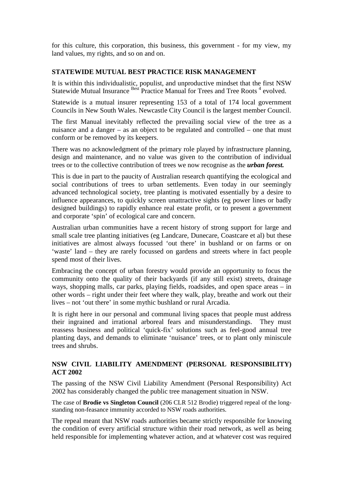for this culture, this corporation, this business, this government - for my view, my land values, my rights, and so on and on.

## **STATEWIDE MUTUAL BEST PRACTICE RISK MANAGEMENT**

It is within this individualistic, populist, and unproductive mindset that the first NSW Statewide Mutual Insurance Best Practice Manual for Trees and Tree Roots<sup>4</sup> evolved.

Statewide is a mutual insurer representing 153 of a total of 174 local government Councils in New South Wales. Newcastle City Council is the largest member Council.

The first Manual inevitably reflected the prevailing social view of the tree as a nuisance and a danger – as an object to be regulated and controlled – one that must conform or be removed by its keepers.

There was no acknowledgment of the primary role played by infrastructure planning, design and maintenance, and no value was given to the contribution of individual trees or to the collective contribution of trees we now recognise as the *urban forest.*

This is due in part to the paucity of Australian research quantifying the ecological and social contributions of trees to urban settlements. Even today in our seemingly advanced technological society, tree planting is motivated essentially by a desire to influence appearances, to quickly screen unattractive sights (eg power lines or badly designed buildings) to rapidly enhance real estate profit, or to present a government and corporate 'spin' of ecological care and concern.

Australian urban communities have a recent history of strong support for large and small scale tree planting initiatives (eg Landcare, Dunecare, Coastcare et al) but these initiatives are almost always focussed 'out there' in bushland or on farms or on 'waste' land – they are rarely focussed on gardens and streets where in fact people spend most of their lives.

Embracing the concept of urban forestry would provide an opportunity to focus the community onto the quality of their backyards (if any still exist) streets, drainage ways, shopping malls, car parks, playing fields, roadsides, and open space areas – in other words – right under their feet where they walk, play, breathe and work out their lives – not 'out there' in some mythic bushland or rural Arcadia.

It is right here in our personal and communal living spaces that people must address their ingrained and irrational arboreal fears and misunderstandings. They must reassess business and political 'quick-fix' solutions such as feel-good annual tree planting days, and demands to eliminate 'nuisance' trees, or to plant only miniscule trees and shrubs.

### **NSW CIVIL LIABILITY AMENDMENT (PERSONAL RESPONSIBILITY) ACT 2002**

The passing of the NSW Civil Liability Amendment (Personal Responsibility) Act 2002 has considerably changed the public tree management situation in NSW.

The case of **Brodie vs Singleton Council** (206 CLR 512 Brodie) triggered repeal of the longstanding non-feasance immunity accorded to NSW roads authorities.

The repeal meant that NSW roads authorities became strictly responsible for knowing the condition of every artificial structure within their road network, as well as being held responsible for implementing whatever action, and at whatever cost was required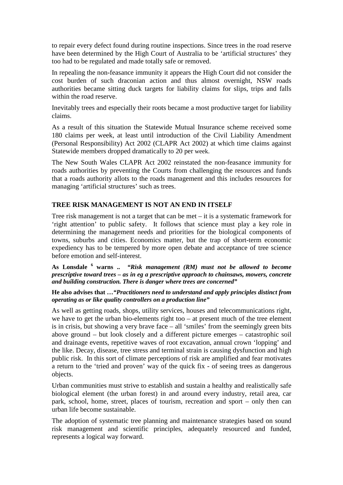to repair every defect found during routine inspections. Since trees in the road reserve have been determined by the High Court of Australia to be 'artificial structures' they too had to be regulated and made totally safe or removed.

In repealing the non-feasance immunity it appears the High Court did not consider the cost burden of such draconian action and thus almost overnight, NSW roads authorities became sitting duck targets for liability claims for slips, trips and falls within the road reserve.

Inevitably trees and especially their roots became a most productive target for liability claims.

As a result of this situation the Statewide Mutual Insurance scheme received some 180 claims per week, at least until introduction of the Civil Liability Amendment (Personal Responsibility) Act 2002 (CLAPR Act 2002) at which time claims against Statewide members dropped dramatically to 20 per week.

The New South Wales CLAPR Act 2002 reinstated the non-feasance immunity for roads authorities by preventing the Courts from challenging the resources and funds that a roads authority allots to the roads management and this includes resources for managing 'artificial structures' such as trees.

#### **TREE RISK MANAGEMENT IS NOT AN END IN ITSELF**

Tree risk management is not a target that can be met – it is a systematic framework for 'right attention' to public safety. It follows that science must play a key role in determining the management needs and priorities for the biological components of towns, suburbs and cities. Economics matter, but the trap of short-term economic expediency has to be tempered by more open debate and acceptance of tree science before emotion and self-interest.

**As Lonsdale <sup>6</sup> warns ..** *"Risk management (RM) must not be allowed to become prescriptive toward trees – as in eg a prescriptive approach to chainsaws, mowers, concrete and building construction. There is danger where trees are concerned"*

**He also advises that …***"Practitioners need to understand and apply principles distinct from operating as or like quality controllers on a production line"* 

As well as getting roads, shops, utility services, houses and telecommunications right, we have to get the urban bio-elements right too – at present much of the tree element is in crisis, but showing a very brave face – all 'smiles' from the seemingly green bits above ground – but look closely and a different picture emerges – catastrophic soil and drainage events, repetitive waves of root excavation, annual crown 'lopping' and the like. Decay, disease, tree stress and terminal strain is causing dysfunction and high public risk. In this sort of climate perceptions of risk are amplified and fear motivates a return to the 'tried and proven' way of the quick fix - of seeing trees as dangerous objects.

Urban communities must strive to establish and sustain a healthy and realistically safe biological element (the urban forest) in and around every industry, retail area, car park, school, home, street, places of tourism, recreation and sport – only then can urban life become sustainable.

The adoption of systematic tree planning and maintenance strategies based on sound risk management and scientific principles, adequately resourced and funded, represents a logical way forward.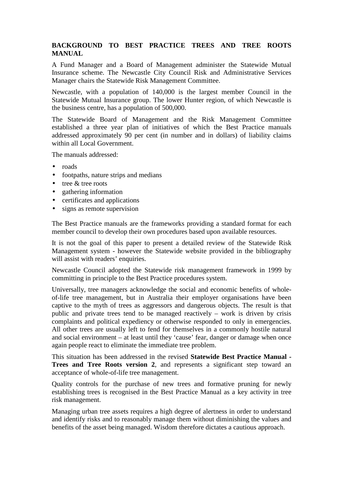# **BACKGROUND TO BEST PRACTICE TREES AND TREE ROOTS MANUAL**

A Fund Manager and a Board of Management administer the Statewide Mutual Insurance scheme. The Newcastle City Council Risk and Administrative Services Manager chairs the Statewide Risk Management Committee.

Newcastle, with a population of 140,000 is the largest member Council in the Statewide Mutual Insurance group. The lower Hunter region, of which Newcastle is the business centre, has a population of 500,000.

The Statewide Board of Management and the Risk Management Committee established a three year plan of initiatives of which the Best Practice manuals addressed approximately 90 per cent (in number and in dollars) of liability claims within all Local Government.

The manuals addressed:

- roads
- footpaths, nature strips and medians
- tree & tree roots
- gathering information
- certificates and applications
- signs as remote supervision

The Best Practice manuals are the frameworks providing a standard format for each member council to develop their own procedures based upon available resources.

It is not the goal of this paper to present a detailed review of the Statewide Risk Management system - however the Statewide website provided in the bibliography will assist with readers' enquiries.

Newcastle Council adopted the Statewide risk management framework in 1999 by committing in principle to the Best Practice procedures system.

Universally, tree managers acknowledge the social and economic benefits of wholeof-life tree management, but in Australia their employer organisations have been captive to the myth of trees as aggressors and dangerous objects. The result is that public and private trees tend to be managed reactively – work is driven by crisis complaints and political expediency or otherwise responded to only in emergencies. All other trees are usually left to fend for themselves in a commonly hostile natural and social environment – at least until they 'cause' fear, danger or damage when once again people react to eliminate the immediate tree problem.

This situation has been addressed in the revised **Statewide Best Practice Manual - Trees and Tree Roots version 2**, and represents a significant step toward an acceptance of whole-of-life tree management.

Quality controls for the purchase of new trees and formative pruning for newly establishing trees is recognised in the Best Practice Manual as a key activity in tree risk management.

Managing urban tree assets requires a high degree of alertness in order to understand and identify risks and to reasonably manage them without diminishing the values and benefits of the asset being managed. Wisdom therefore dictates a cautious approach.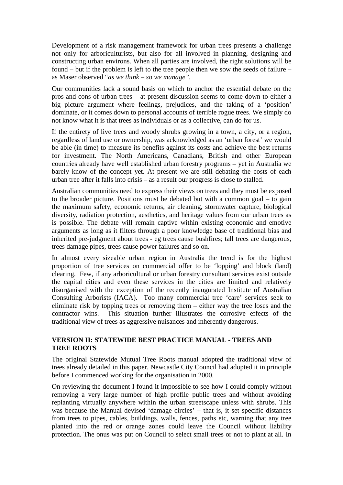Development of a risk management framework for urban trees presents a challenge not only for arboriculturists, but also for all involved in planning, designing and constructing urban environs. When all parties are involved, the right solutions will be found – but if the problem is left to the tree people then we sow the seeds of failure – as Maser observed "*as we think – so we manage".* 

Our communities lack a sound basis on which to anchor the essential debate on the pros and cons of urban trees – at present discussion seems to come down to either a big picture argument where feelings, prejudices, and the taking of a 'position' dominate, or it comes down to personal accounts of terrible rogue trees. We simply do not know what it is that trees as individuals or as a collective, can do for us.

If the entirety of live trees and woody shrubs growing in a town, a city, or a region, regardless of land use or ownership, was acknowledged as an 'urban forest' we would be able (in time) to measure its benefits against its costs and achieve the best returns for investment. The North Americans, Canadians, British and other European countries already have well established urban forestry programs – yet in Australia we barely know of the concept yet. At present we are still debating the costs of each urban tree after it falls into crisis – as a result our progress is close to stalled.

Australian communities need to express their views on trees and they must be exposed to the broader picture. Positions must be debated but with a common goal – to gain the maximum safety, economic returns, air cleaning, stormwater capture, biological diversity, radiation protection, aesthetics, and heritage values from our urban trees as is possible. The debate will remain captive within existing economic and emotive arguments as long as it filters through a poor knowledge base of traditional bias and inherited pre-judgment about trees - eg trees cause bushfires; tall trees are dangerous, trees damage pipes, trees cause power failures and so on.

In almost every sizeable urban region in Australia the trend is for the highest proportion of tree services on commercial offer to be 'lopping' and block (land) clearing. Few, if any arboricultural or urban forestry consultant services exist outside the capital cities and even these services in the cities are limited and relatively disorganised with the exception of the recently inaugurated Institute of Australian Consulting Arborists (IACA). Too many commercial tree 'care' services seek to eliminate risk by topping trees or removing them – either way the tree loses and the contractor wins. This situation further illustrates the corrosive effects of the traditional view of trees as aggressive nuisances and inherently dangerous.

# **VERSION II: STATEWIDE BEST PRACTICE MANUAL - TREES AND TREE ROOTS**

The original Statewide Mutual Tree Roots manual adopted the traditional view of trees already detailed in this paper. Newcastle City Council had adopted it in principle before I commenced working for the organisation in 2000.

On reviewing the document I found it impossible to see how I could comply without removing a very large number of high profile public trees and without avoiding replanting virtually anywhere within the urban streetscape unless with shrubs. This was because the Manual devised 'damage circles' – that is, it set specific distances from trees to pipes, cables, buildings, walls, fences, paths etc, warning that any tree planted into the red or orange zones could leave the Council without liability protection. The onus was put on Council to select small trees or not to plant at all. In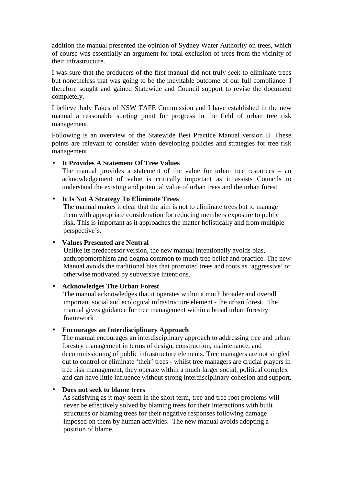addition the manual presented the opinion of Sydney Water Authority on trees, which of course was essentially an argument for total exclusion of trees from the vicinity of their infrastructure.

I was sure that the producers of the first manual did not truly seek to eliminate trees but nonetheless that was going to be the inevitable outcome of our full compliance. I therefore sought and gained Statewide and Council support to revise the document completely.

I believe Judy Fakes of NSW TAFE Commission and I have established in the new manual a reasonable starting point for progress in the field of urban tree risk management.

Following is an overview of the Statewide Best Practice Manual version II. These points are relevant to consider when developing policies and strategies for tree risk management.

#### • **It Provides A Statement Of Tree Values**

The manual provides a statement of the value for urban tree resources – an acknowledgement of value is critically important as it assists Councils to understand the existing and potential value of urban trees and the urban forest

# • **It Is Not A Strategy To Eliminate Trees**

The manual makes it clear that the aim is not to eliminate trees but to manage them with appropriate consideration for reducing members exposure to public risk. This is important as it approaches the matter holistically and from multiple perspective's.

#### • **Values Presented are Neutral**

Unlike its predecessor version, the new manual intentionally avoids bias, anthropomorphism and dogma common to much tree belief and practice. The new Manual avoids the traditional bias that promoted trees and roots as 'aggressive' or otherwise motivated by subversive intentions.

# • **Acknowledges The Urban Forest**

The manual acknowledges that it operates within a much broader and overall important social and ecological infrastructure element - the urban forest. The manual gives guidance for tree management within a broad urban forestry framework

#### • **Encourages an Interdisciplinary Approach**

The manual encourages an interdisciplinary approach to addressing tree and urban forestry management in terms of design, construction, maintenance, and decommissioning of public infrastructure elements. Tree managers are not singled out to control or eliminate 'their' trees - whilst tree managers are crucial players in tree risk management, they operate within a much larger social, political complex and can have little influence without strong interdisciplinary cohesion and support.

#### • **Does not seek to blame trees**

As satisfying as it may seem in the short term, tree and tree root problems will never be effectively solved by blaming trees for their interactions with built structures or blaming trees for their negative responses following damage imposed on them by human activities. The new manual avoids adopting a position of blame.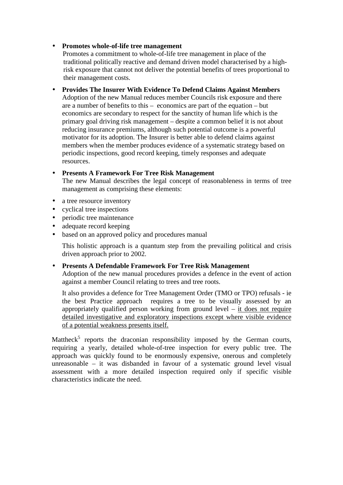## • **Promotes whole-of-life tree management**

Promotes a commitment to whole-of-life tree management in place of the traditional politically reactive and demand driven model characterised by a highrisk exposure that cannot not deliver the potential benefits of trees proportional to their management costs.

• **Provides The Insurer With Evidence To Defend Claims Against Members**  Adoption of the new Manual reduces member Councils risk exposure and there are a number of benefits to this – economics are part of the equation – but economics are secondary to respect for the sanctity of human life which is the primary goal driving risk management – despite a common belief it is not about reducing insurance premiums, although such potential outcome is a powerful motivator for its adoption. The Insurer is better able to defend claims against members when the member produces evidence of a systematic strategy based on periodic inspections, good record keeping, timely responses and adequate resources.

# • **Presents A Framework For Tree Risk Management**

The new Manual describes the legal concept of reasonableness in terms of tree management as comprising these elements:

- a tree resource inventory
- cyclical tree inspections
- periodic tree maintenance
- adequate record keeping
- based on an approved policy and procedures manual

This holistic approach is a quantum step from the prevailing political and crisis driven approach prior to 2002.

#### • **Presents A Defendable Framework For Tree Risk Management**

Adoption of the new manual procedures provides a defence in the event of action against a member Council relating to trees and tree roots.

It also provides a defence for Tree Management Order (TMO or TPO) refusals - ie the best Practice approach requires a tree to be visually assessed by an appropriately qualified person working from ground level – it does not require detailed investigative and exploratory inspections except where visible evidence of a potential weakness presents itself.

Mattheck<sup>5</sup> reports the draconian responsibility imposed by the German courts, requiring a yearly, detailed whole-of-tree inspection for every public tree. The approach was quickly found to be enormously expensive, onerous and completely unreasonable – it was disbanded in favour of a systematic ground level visual assessment with a more detailed inspection required only if specific visible characteristics indicate the need.